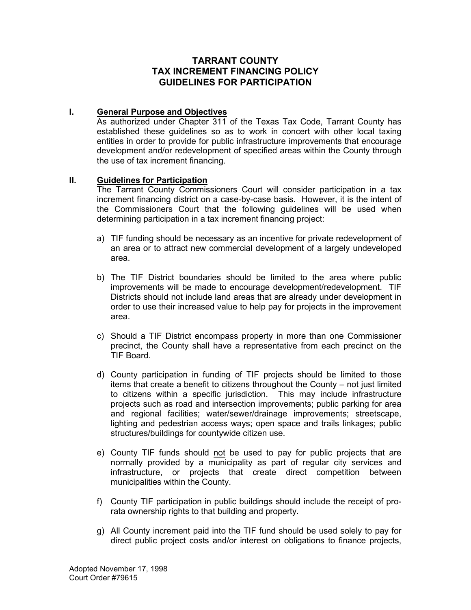## **TARRANT COUNTY TAX INCREMENT FINANCING POLICY GUIDELINES FOR PARTICIPATION**

## **I. General Purpose and Objectives**

As authorized under Chapter 311 of the Texas Tax Code, Tarrant County has established these guidelines so as to work in concert with other local taxing entities in order to provide for public infrastructure improvements that encourage development and/or redevelopment of specified areas within the County through the use of tax increment financing.

## **II. Guidelines for Participation**

The Tarrant County Commissioners Court will consider participation in a tax increment financing district on a case-by-case basis. However, it is the intent of the Commissioners Court that the following guidelines will be used when determining participation in a tax increment financing project:

- a) TIF funding should be necessary as an incentive for private redevelopment of an area or to attract new commercial development of a largely undeveloped area.
- b) The TIF District boundaries should be limited to the area where public improvements will be made to encourage development/redevelopment. TIF Districts should not include land areas that are already under development in order to use their increased value to help pay for projects in the improvement area.
- c) Should a TIF District encompass property in more than one Commissioner precinct, the County shall have a representative from each precinct on the TIF Board.
- d) County participation in funding of TIF projects should be limited to those items that create a benefit to citizens throughout the County – not just limited to citizens within a specific jurisdiction. This may include infrastructure projects such as road and intersection improvements; public parking for area and regional facilities; water/sewer/drainage improvements; streetscape, lighting and pedestrian access ways; open space and trails linkages; public structures/buildings for countywide citizen use.
- e) County TIF funds should not be used to pay for public projects that are normally provided by a municipality as part of regular city services and infrastructure, or projects that create direct competition between municipalities within the County.
- f) County TIF participation in public buildings should include the receipt of prorata ownership rights to that building and property.
- g) All County increment paid into the TIF fund should be used solely to pay for direct public project costs and/or interest on obligations to finance projects,